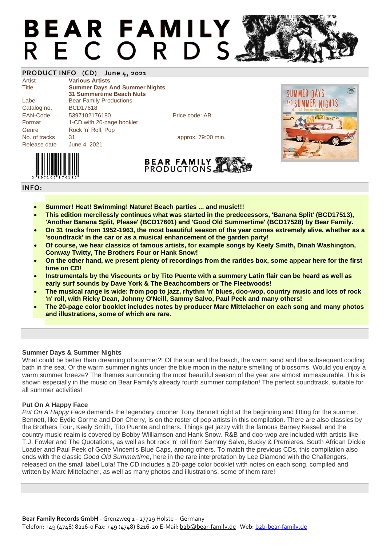# **BEAR FAMILY** RECORDS.

### **PRODUCT INFO (CD) June 4, 2021**

Artist **Various Artists**

Title **Summer Days And Summer Nights 31 Summertime Beach Nuts** Label Bear Family Productions Catalog no. BCD17618 EAN-Code 5397102176180 Price code: AB Format 1-CD with 20-page booklet Genre Rock 'n' Roll, Pop No. of tracks 31 approx. 79:00 min. Release date June 4, 2021





**BEAR FAMILY PRODUCTIONS** 

#### **INFO:**

- **Summer! Heat! Swimming! Nature! Beach parties ... and music!!!**
- **This edition mercilessly continues what was started in the predecessors, 'Banana Split' (BCD17513), 'Another Banana Split, Please' (BCD17601) and 'Good Old Summertime' (BCD17528) by Bear Family.**
- **On 31 tracks from 1952-1963, the most beautiful season of the year comes extremely alive, whether as a 'soundtrack' in the car or as a musical enhancement of the garden party!**
- **Of course, we hear classics of famous artists, for example songs by Keely Smith, Dinah Washington, Conway Twitty, The Brothers Four or Hank Snow!**
- **On the other hand, we present plenty of recordings from the rarities box, some appear here for the first time on CD!**
- **Instrumentals by the Viscounts or by Tito Puente with a summery Latin flair can be heard as well as early surf sounds by Dave York & The Beachcombers or The Fleetwoods!**
- **The musical range is wide: from pop to jazz, rhythm 'n' blues, doo-wop, country music and lots of rock 'n' roll, with Ricky Dean, Johnny O'Neill, Sammy Salvo, Paul Peek and many others!**
- **The 20-page color booklet includes notes by producer Marc Mittelacher on each song and many photos and illustrations, some of which are rare.**

#### **Summer Days & Summer Nights**

What could be better than dreaming of summer?! Of the sun and the beach, the warm sand and the subsequent cooling bath in the sea. Or the warm summer nights under the blue moon in the nature smelling of blossoms. Would you enjoy a warm summer breeze? The themes surrounding the most beautiful season of the year are almost immeasurable. This is shown especially in the music on Bear Family's already fourth summer compilation! The perfect soundtrack, suitable for all summer activities!

#### **Put On A Happy Face**

*Put On A Happy Face* demands the legendary crooner Tony Bennett right at the beginning and fitting for the summer. Bennett, like Eydie Gorme and Don Cherry, is on the roster of pop artists in this compilation. There are also classics by the Brothers Four, Keely Smith, Tito Puente and others. Things get jazzy with the famous Barney Kessel, and the country music realm is covered by Bobby Williamson and Hank Snow. R&B and doo-wop are included with artists like T.J. Fowler and The Quotations, as well as hot rock 'n' roll from Sammy Salvo, Bucky & Premieres, South African Dickie Loader and Paul Peek of Gene Vincent's Blue Caps, among others. To match the previous CDs, this compilation also ends with the classic *Good Old Summertime*, here in the rare interpretation by Lee Diamond with the Challengers, released on the small label Lola! The CD includes a 20-page color booklet with notes on each song, compiled and written by Marc Mittelacher, as well as many photos and illustrations, some of them rare!